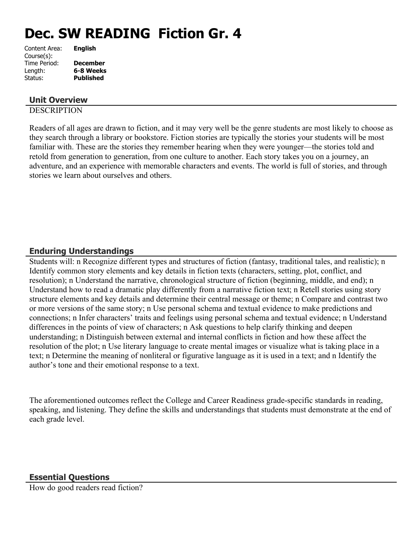# **Dec. SW READING Fiction Gr. 4**

| <b>English</b>   |
|------------------|
|                  |
| <b>December</b>  |
| 6-8 Weeks        |
| <b>Published</b> |
|                  |

# **Unit Overview**

## **DESCRIPTION**

Readers of all ages are drawn to fiction, and it may very well be the genre students are most likely to choose as they search through a library or bookstore. Fiction stories are typically the stories your students will be most familiar with. These are the stories they remember hearing when they were younger—the stories told and retold from generation to generation, from one culture to another. Each story takes you on a journey, an adventure, and an experience with memorable characters and events. The world is full of stories, and through stories we learn about ourselves and others.

# **Enduring Understandings**

Students will: n Recognize different types and structures of fiction (fantasy, traditional tales, and realistic); n Identify common story elements and key details in fiction texts (characters, setting, plot, conflict, and resolution); n Understand the narrative, chronological structure of fiction (beginning, middle, and end); n Understand how to read a dramatic play differently from a narrative fiction text; n Retell stories using story structure elements and key details and determine their central message or theme; n Compare and contrast two or more versions of the same story; n Use personal schema and textual evidence to make predictions and connections; n Infer characters' traits and feelings using personal schema and textual evidence; n Understand differences in the points of view of characters; n Ask questions to help clarify thinking and deepen understanding; n Distinguish between external and internal conflicts in fiction and how these affect the resolution of the plot; n Use literary language to create mental images or visualize what is taking place in a text; n Determine the meaning of nonliteral or figurative language as it is used in a text; and n Identify the author's tone and their emotional response to a text.

The aforementioned outcomes reflect the College and Career Readiness grade-specific standards in reading, speaking, and listening. They define the skills and understandings that students must demonstrate at the end of each grade level.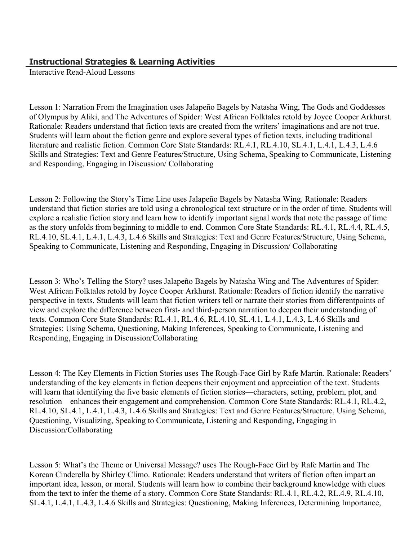# **Instructional Strategies & Learning Activities**

Interactive Read-Aloud Lessons

Lesson 1: Narration From the Imagination uses Jalapeño Bagels by Natasha Wing, The Gods and Goddesses of Olympus by Aliki, and The Adventures of Spider: West African Folktales retold by Joyce Cooper Arkhurst. Rationale: Readers understand that fiction texts are created from the writers' imaginations and are not true. Students will learn about the fiction genre and explore several types of fiction texts, including traditional literature and realistic fiction. Common Core State Standards: RL.4.1, RL.4.10, SL.4.1, L.4.1, L.4.3, L.4.6 Skills and Strategies: Text and Genre Features/Structure, Using Schema, Speaking to Communicate, Listening and Responding, Engaging in Discussion/ Collaborating

Lesson 2: Following the Story's Time Line uses Jalapeño Bagels by Natasha Wing. Rationale: Readers understand that fiction stories are told using a chronological text structure or in the order of time. Students will explore a realistic fiction story and learn how to identify important signal words that note the passage of time as the story unfolds from beginning to middle to end. Common Core State Standards: RL.4.1, RL.4.4, RL.4.5, RL.4.10, SL.4.1, L.4.1, L.4.3, L.4.6 Skills and Strategies: Text and Genre Features/Structure, Using Schema, Speaking to Communicate, Listening and Responding, Engaging in Discussion/ Collaborating

Lesson 3: Who's Telling the Story? uses Jalapeño Bagels by Natasha Wing and The Adventures of Spider: West African Folktales retold by Joyce Cooper Arkhurst. Rationale: Readers of fiction identify the narrative perspective in texts. Students will learn that fiction writers tell or narrate their stories from differentpoints of view and explore the difference between first- and third-person narration to deepen their understanding of texts. Common Core State Standards: RL.4.1, RL.4.6, RL.4.10, SL.4.1, L.4.1, L.4.3, L.4.6 Skills and Strategies: Using Schema, Questioning, Making Inferences, Speaking to Communicate, Listening and Responding, Engaging in Discussion/Collaborating

Lesson 4: The Key Elements in Fiction Stories uses The Rough-Face Girl by Rafe Martin. Rationale: Readers' understanding of the key elements in fiction deepens their enjoyment and appreciation of the text. Students will learn that identifying the five basic elements of fiction stories—characters, setting, problem, plot, and resolution—enhances their engagement and comprehension. Common Core State Standards: RL.4.1, RL.4.2, RL.4.10, SL.4.1, L.4.1, L.4.3, L.4.6 Skills and Strategies: Text and Genre Features/Structure, Using Schema, Questioning, Visualizing, Speaking to Communicate, Listening and Responding, Engaging in Discussion/Collaborating

Lesson 5: What's the Theme or Universal Message? uses The Rough-Face Girl by Rafe Martin and The Korean Cinderella by Shirley Climo. Rationale: Readers understand that writers of fiction often impart an important idea, lesson, or moral. Students will learn how to combine their background knowledge with clues from the text to infer the theme of a story. Common Core State Standards: RL.4.1, RL.4.2, RL.4.9, RL.4.10, SL.4.1, L.4.1, L.4.3, L.4.6 Skills and Strategies: Questioning, Making Inferences, Determining Importance,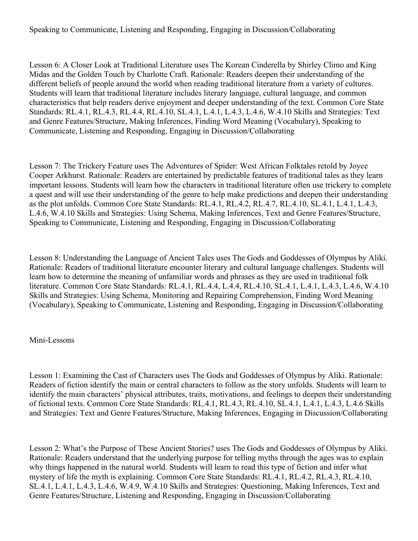Speaking to Communicate, Listening and Responding, Engaging in Discussion/Collaborating

Lesson 6: A Closer Look at Traditional Literature uses The Korean Cinderella by Shirley Climo and King Midas and the Golden Touch by Charlotte Craft. Rationale: Readers deepen their understanding of the different beliefs of people around the world when reading traditional literature from a variety of cultures. Students will learn that traditional literature includes literary language, cultural language, and common characteristics that help readers derive enjoyment and deeper understanding of the text. Common Core State Standards: RL.4.1, RL.4.3, RL.4.4, RL.4.10, SL.4.1, L.4.1, L.4.3, L.4.6, W.4.10 Skills and Strategies: Text and Genre Features/Structure, Making Inferences, Finding Word Meaning (Vocabulary), Speaking to Communicate, Listening and Responding, Engaging in Discussion/Collaborating

Lesson 7: The Trickery Feature uses The Adventures of Spider: West African Folktales retold by Joyce Cooper Arkhurst. Rationale: Readers are entertained by predictable features of traditional tales as they learn important lessons. Students will learn how the characters in traditional literature often use trickery to complete a quest and will use their understanding of the genre to help make predictions and deepen their understanding as the plot unfolds. Common Core State Standards: RL.4.1, RL.4.2, RL.4.7, RL.4.10, SL.4.1, L.4.1, L.4.3, L.4.6, W.4.10 Skills and Strategies: Using Schema, Making Inferences, Text and Genre Features/Structure, Speaking to Communicate, Listening and Responding, Engaging in Discussion/Collaborating

Lesson 8: Understanding the Language of Ancient Tales uses The Gods and Goddesses of Olympus by Aliki. Rationale: Readers of traditional literature encounter literary and cultural language challenges. Students will learn how to determine the meaning of unfamiliar words and phrases as they are used in traditional folk literature. Common Core State Standards: RL.4.1, RL.4.4, L.4.4, RL.4.10, SL.4.1, L.4.1, L.4.3, L.4.6, W.4.10 Skills and Strategies: Using Schema, Monitoring and Repairing Comprehension, Finding Word Meaning (Vocabulary), Speaking to Communicate, Listening and Responding, Engaging in Discussion/Collaborating

## Mini-Lessons

Lesson 1: Examining the Cast of Characters uses The Gods and Goddesses of Olympus by Aliki. Rationale: Readers of fiction identify the main or central characters to follow as the story unfolds. Students will learn to identify the main characters' physical attributes, traits, motivations, and feelings to deepen their understanding of fictional texts. Common Core State Standards: RL.4.1, RL.4.3, RL.4.10, SL.4.1, L.4.1, L.4.3, L.4.6 Skills and Strategies: Text and Genre Features/Structure, Making Inferences, Engaging in Discussion/Collaborating

Lesson 2: What's the Purpose of These Ancient Stories? uses The Gods and Goddesses of Olympus by Aliki. Rationale: Readers understand that the underlying purpose for telling myths through the ages was to explain why things happened in the natural world. Students will learn to read this type of fiction and infer what mystery of life the myth is explaining. Common Core State Standards: RL.4.1, RL.4.2, RL.4.3, RL.4.10, SL.4.1, L.4.1, L.4.3, L.4.6, W.4.9, W.4.10 Skills and Strategies: Questioning, Making Inferences, Text and Genre Features/Structure, Listening and Responding, Engaging in Discussion/Collaborating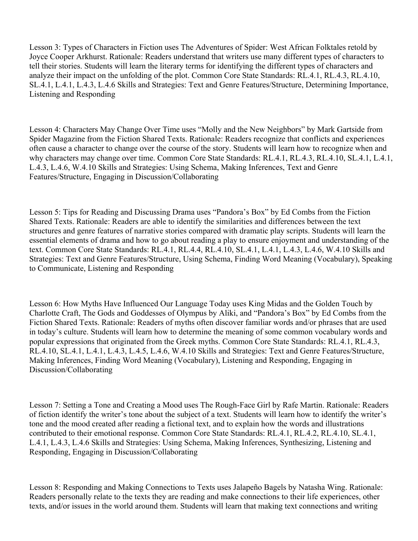Lesson 3: Types of Characters in Fiction uses The Adventures of Spider: West African Folktales retold by Joyce Cooper Arkhurst. Rationale: Readers understand that writers use many different types of characters to tell their stories. Students will learn the literary terms for identifying the different types of characters and analyze their impact on the unfolding of the plot. Common Core State Standards: RL.4.1, RL.4.3, RL.4.10, SL.4.1, L.4.1, L.4.3, L.4.6 Skills and Strategies: Text and Genre Features/Structure, Determining Importance, Listening and Responding

Lesson 4: Characters May Change Over Time uses "Molly and the New Neighbors" by Mark Gartside from Spider Magazine from the Fiction Shared Texts. Rationale: Readers recognize that conflicts and experiences often cause a character to change over the course of the story. Students will learn how to recognize when and why characters may change over time. Common Core State Standards: RL.4.1, RL.4.3, RL.4.10, SL.4.1, L.4.1, L.4.3, L.4.6, W.4.10 Skills and Strategies: Using Schema, Making Inferences, Text and Genre Features/Structure, Engaging in Discussion/Collaborating

Lesson 5: Tips for Reading and Discussing Drama uses "Pandora's Box" by Ed Combs from the Fiction Shared Texts. Rationale: Readers are able to identify the similarities and differences between the text structures and genre features of narrative stories compared with dramatic play scripts. Students will learn the essential elements of drama and how to go about reading a play to ensure enjoyment and understanding of the text. Common Core State Standards: RL.4.1, RL.4.4, RL.4.10, SL.4.1, L.4.1, L.4.3, L.4.6, W.4.10 Skills and Strategies: Text and Genre Features/Structure, Using Schema, Finding Word Meaning (Vocabulary), Speaking to Communicate, Listening and Responding

Lesson 6: How Myths Have Influenced Our Language Today uses King Midas and the Golden Touch by Charlotte Craft, The Gods and Goddesses of Olympus by Aliki, and "Pandora's Box" by Ed Combs from the Fiction Shared Texts. Rationale: Readers of myths often discover familiar words and/or phrases that are used in today's culture. Students will learn how to determine the meaning of some common vocabulary words and popular expressions that originated from the Greek myths. Common Core State Standards: RL.4.1, RL.4.3, RL.4.10, SL.4.1, L.4.1, L.4.3, L.4.5, L.4.6, W.4.10 Skills and Strategies: Text and Genre Features/Structure, Making Inferences, Finding Word Meaning (Vocabulary), Listening and Responding, Engaging in Discussion/Collaborating

Lesson 7: Setting a Tone and Creating a Mood uses The Rough-Face Girl by Rafe Martin. Rationale: Readers of fiction identify the writer's tone about the subject of a text. Students will learn how to identify the writer's tone and the mood created after reading a fictional text, and to explain how the words and illustrations contributed to their emotional response. Common Core State Standards: RL.4.1, RL.4.2, RL.4.10, SL.4.1, L.4.1, L.4.3, L.4.6 Skills and Strategies: Using Schema, Making Inferences, Synthesizing, Listening and Responding, Engaging in Discussion/Collaborating

Lesson 8: Responding and Making Connections to Texts uses Jalapeño Bagels by Natasha Wing. Rationale: Readers personally relate to the texts they are reading and make connections to their life experiences, other texts, and/or issues in the world around them. Students will learn that making text connections and writing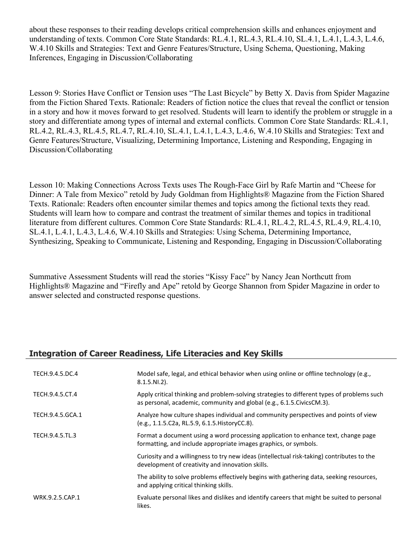about these responses to their reading develops critical comprehension skills and enhances enjoyment and understanding of texts. Common Core State Standards: RL.4.1, RL.4.3, RL.4.10, SL.4.1, L.4.1, L.4.3, L.4.6, W.4.10 Skills and Strategies: Text and Genre Features/Structure, Using Schema, Questioning, Making Inferences, Engaging in Discussion/Collaborating

Lesson 9: Stories Have Conflict or Tension uses "The Last Bicycle" by Betty X. Davis from Spider Magazine from the Fiction Shared Texts. Rationale: Readers of fiction notice the clues that reveal the conflict or tension in a story and how it moves forward to get resolved. Students will learn to identify the problem or struggle in a story and differentiate among types of internal and external conflicts. Common Core State Standards: RL.4.1, RL.4.2, RL.4.3, RL.4.5, RL.4.7, RL.4.10, SL.4.1, L.4.1, L.4.3, L.4.6, W.4.10 Skills and Strategies: Text and Genre Features/Structure, Visualizing, Determining Importance, Listening and Responding, Engaging in Discussion/Collaborating

Lesson 10: Making Connections Across Texts uses The Rough-Face Girl by Rafe Martin and "Cheese for Dinner: A Tale from Mexico" retold by Judy Goldman from Highlights® Magazine from the Fiction Shared Texts. Rationale: Readers often encounter similar themes and topics among the fictional texts they read. Students will learn how to compare and contrast the treatment of similar themes and topics in traditional literature from different cultures. Common Core State Standards: RL.4.1, RL.4.2, RL.4.5, RL.4.9, RL.4.10, SL.4.1, L.4.1, L.4.3, L.4.6, W.4.10 Skills and Strategies: Using Schema, Determining Importance, Synthesizing, Speaking to Communicate, Listening and Responding, Engaging in Discussion/Collaborating

Summative Assessment Students will read the stories "Kissy Face" by Nancy Jean Northcutt from Highlights® Magazine and "Firefly and Ape" retold by George Shannon from Spider Magazine in order to answer selected and constructed response questions.

# **Integration of Career Readiness, Life Literacies and Key Skills**

| TECH.9.4.5.DC.4  | Model safe, legal, and ethical behavior when using online or offline technology (e.g.,<br>$8.1.5.NI.2$ ).                                                             |
|------------------|-----------------------------------------------------------------------------------------------------------------------------------------------------------------------|
| TECH.9.4.5.CT.4  | Apply critical thinking and problem-solving strategies to different types of problems such<br>as personal, academic, community and global (e.g., 6.1.5. Civics CM.3). |
| TECH.9.4.5.GCA.1 | Analyze how culture shapes individual and community perspectives and points of view<br>(e.g., 1.1.5.C2a, RL.5.9, 6.1.5. History CC.8).                                |
| TECH.9.4.5.TL.3  | Format a document using a word processing application to enhance text, change page<br>formatting, and include appropriate images graphics, or symbols.                |
|                  | Curiosity and a willingness to try new ideas (intellectual risk-taking) contributes to the<br>development of creativity and innovation skills.                        |
|                  | The ability to solve problems effectively begins with gathering data, seeking resources,<br>and applying critical thinking skills.                                    |
| WRK.9.2.5.CAP.1  | Evaluate personal likes and dislikes and identify careers that might be suited to personal<br>likes.                                                                  |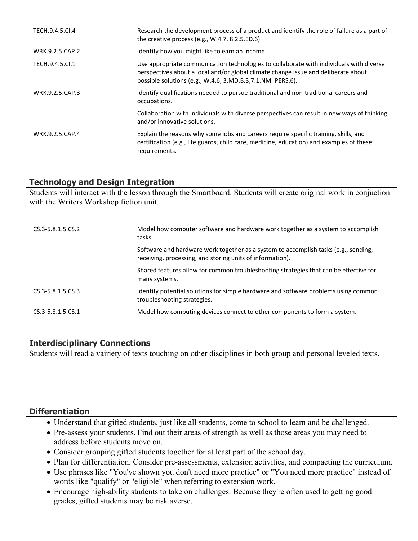| TECH.9.4.5.Cl.4 | Research the development process of a product and identify the role of failure as a part of<br>the creative process (e.g., $W.4.7$ , 8.2.5.ED.6).                                                                                            |
|-----------------|----------------------------------------------------------------------------------------------------------------------------------------------------------------------------------------------------------------------------------------------|
| WRK.9.2.5.CAP.2 | Identify how you might like to earn an income.                                                                                                                                                                                               |
| TECH.9.4.5.Cl.1 | Use appropriate communication technologies to collaborate with individuals with diverse<br>perspectives about a local and/or global climate change issue and deliberate about<br>possible solutions (e.g., W.4.6, 3.MD.B.3, 7.1.NM.IPERS.6). |
| WRK.9.2.5.CAP.3 | Identify qualifications needed to pursue traditional and non-traditional careers and<br>occupations.                                                                                                                                         |
|                 | Collaboration with individuals with diverse perspectives can result in new ways of thinking<br>and/or innovative solutions.                                                                                                                  |
| WRK.9.2.5.CAP.4 | Explain the reasons why some jobs and careers require specific training, skills, and<br>certification (e.g., life guards, child care, medicine, education) and examples of these<br>requirements.                                            |

# **Technology and Design Integration**

Students will interact with the lesson through the Smartboard. Students will create original work in conjuction with the Writers Workshop fiction unit.

| $CS.3 - 5.8.1.5.CS.2$ | Model how computer software and hardware work together as a system to accomplish<br>tasks.                                                       |
|-----------------------|--------------------------------------------------------------------------------------------------------------------------------------------------|
|                       | Software and hardware work together as a system to accomplish tasks (e.g., sending,<br>receiving, processing, and storing units of information). |
|                       | Shared features allow for common troubleshooting strategies that can be effective for<br>many systems.                                           |
| $CS.3 - 5.8.1.5.CS.3$ | Identify potential solutions for simple hardware and software problems using common<br>troubleshooting strategies.                               |
| CS.3-5.8.1.5.CS.1     | Model how computing devices connect to other components to form a system.                                                                        |

# **Interdisciplinary Connections**

Students will read a vairiety of texts touching on other disciplines in both group and personal leveled texts.

# **Differentiation**

- Understand that gifted students, just like all students, come to school to learn and be challenged.
- Pre-assess your students. Find out their areas of strength as well as those areas you may need to address before students move on.
- Consider grouping gifted students together for at least part of the school day.
- Plan for differentiation. Consider pre-assessments, extension activities, and compacting the curriculum.
- Use phrases like "You've shown you don't need more practice" or "You need more practice" instead of words like "qualify" or "eligible" when referring to extension work.
- Encourage high-ability students to take on challenges. Because they're often used to getting good grades, gifted students may be risk averse.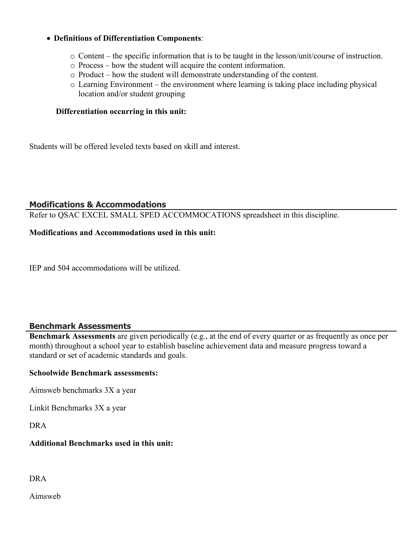### **Definitions of Differentiation Components**:

- o Content the specific information that is to be taught in the lesson/unit/course of instruction.
- o Process how the student will acquire the content information.
- o Product how the student will demonstrate understanding of the content.
- o Learning Environment the environment where learning is taking place including physical location and/or student grouping

#### **Differentiation occurring in this unit:**

Students will be offered leveled texts based on skill and interest.

#### **Modifications & Accommodations**

Refer to QSAC EXCEL SMALL SPED ACCOMMOCATIONS spreadsheet in this discipline.

#### **Modifications and Accommodations used in this unit:**

IEP and 504 accommodations will be utilized.

## **Benchmark Assessments**

**Benchmark Assessments** are given periodically (e.g., at the end of every quarter or as frequently as once per month) throughout a school year to establish baseline achievement data and measure progress toward a standard or set of academic standards and goals.

#### **Schoolwide Benchmark assessments:**

Aimsweb benchmarks 3X a year

Linkit Benchmarks 3X a year

DRA

## **Additional Benchmarks used in this unit:**

DRA

Aimsweb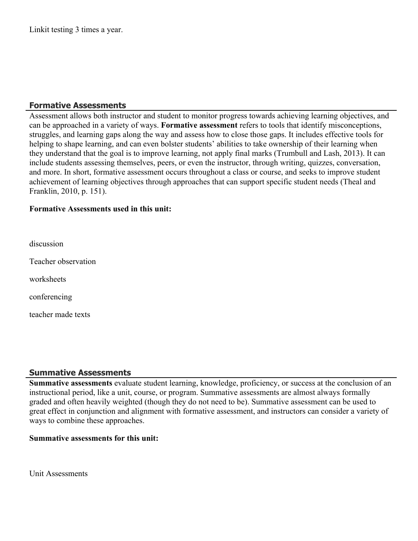## **Formative Assessments**

Assessment allows both instructor and student to monitor progress towards achieving learning objectives, and can be approached in a variety of ways. **Formative assessment** refers to tools that identify misconceptions, struggles, and learning gaps along the way and assess how to close those gaps. It includes effective tools for helping to shape learning, and can even bolster students' abilities to take ownership of their learning when they understand that the goal is to improve learning, not apply final marks (Trumbull and Lash, 2013). It can include students assessing themselves, peers, or even the instructor, through writing, quizzes, conversation, and more. In short, formative assessment occurs throughout a class or course, and seeks to improve student achievement of learning objectives through approaches that can support specific student needs (Theal and Franklin, 2010, p. 151).

## **Formative Assessments used in this unit:**

discussion

Teacher observation

worksheets

conferencing

teacher made texts

## **Summative Assessments**

**Summative assessments** evaluate student learning, knowledge, proficiency, or success at the conclusion of an instructional period, like a unit, course, or program. Summative assessments are almost always formally graded and often heavily weighted (though they do not need to be). Summative assessment can be used to great effect in conjunction and alignment with formative assessment, and instructors can consider a variety of ways to combine these approaches.

#### **Summative assessments for this unit:**

Unit Assessments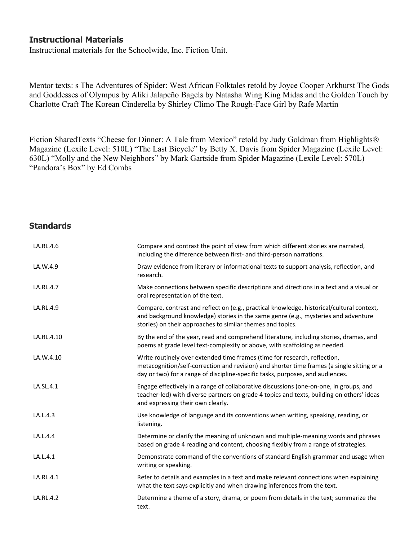## **Instructional Materials**

Instructional materials for the Schoolwide, Inc. Fiction Unit.

Mentor texts: s The Adventures of Spider: West African Folktales retold by Joyce Cooper Arkhurst The Gods and Goddesses of Olympus by Aliki Jalapeño Bagels by Natasha Wing King Midas and the Golden Touch by Charlotte Craft The Korean Cinderella by Shirley Climo The Rough-Face Girl by Rafe Martin

Fiction SharedTexts "Cheese for Dinner: A Tale from Mexico" retold by Judy Goldman from Highlights® Magazine (Lexile Level: 510L) "The Last Bicycle" by Betty X. Davis from Spider Magazine (Lexile Level: 630L) "Molly and the New Neighbors" by Mark Gartside from Spider Magazine (Lexile Level: 570L) "Pandora's Box" by Ed Combs

# **Standards** LA.RL.4.6 Compare and contrast the point of view from which different stories are narrated, including the difference between first- and third-person narrations. LA.W.4.9 **Draw evidence from literary or informational texts to support analysis, reflection, and** research. LA.RL.4.7 Make connections between specific descriptions and directions in a text and a visual or oral representation of the text. LA.RL.4.9 Compare, contrast and reflect on (e.g., practical knowledge, historical/cultural context, and background knowledge) stories in the same genre (e.g., mysteries and adventure stories) on their approaches to similar themes and topics. LA.RL.4.10 By the end of the year, read and comprehend literature, including stories, dramas, and poems at grade level text-complexity or above, with scaffolding as needed. LA.W.4.10 Write routinely over extended time frames (time for research, reflection, metacognition/self-correction and revision) and shorter time frames (a single sitting or a day or two) for a range of discipline-specific tasks, purposes, and audiences. LA.SL.4.1 Engage effectively in a range of collaborative discussions (one-on-one, in groups, and teacher-led) with diverse partners on grade 4 topics and texts, building on others' ideas and expressing their own clearly. LA.L.4.3 **Example 1** Use knowledge of language and its conventions when writing, speaking, reading, or listening. LA.L.4.4 **Example 3 Determine or clarify the meaning of unknown and multiple-meaning words and phrases** based on grade 4 reading and content, choosing flexibly from a range of strategies. LA.L.4.1 **Example 2 Increase 2 Demonstrate command of the conventions of standard English grammar and usage when** writing or speaking. LA.RL.4.1 Refer to details and examples in a text and make relevant connections when explaining what the text says explicitly and when drawing inferences from the text. LA.RL.4.2 Determine a theme of a story, drama, or poem from details in the text; summarize the text.